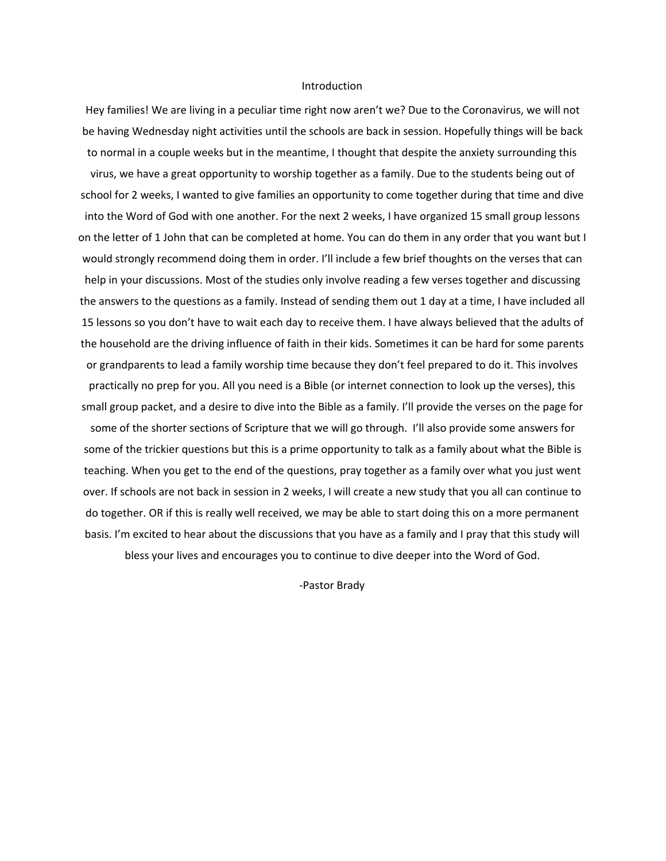#### Introduction

Hey families! We are living in a peculiar time right now aren't we? Due to the Coronavirus, we will not be having Wednesday night activities until the schools are back in session. Hopefully things will be back to normal in a couple weeks but in the meantime, I thought that despite the anxiety surrounding this virus, we have a great opportunity to worship together as a family. Due to the students being out of school for 2 weeks, I wanted to give families an opportunity to come together during that time and dive into the Word of God with one another. For the next 2 weeks, I have organized 15 small group lessons on the letter of 1 John that can be completed at home. You can do them in any order that you want but I would strongly recommend doing them in order. I'll include a few brief thoughts on the verses that can help in your discussions. Most of the studies only involve reading a few verses together and discussing the answers to the questions as a family. Instead of sending them out 1 day at a time, I have included all 15 lessons so you don't have to wait each day to receive them. I have always believed that the adults of the household are the driving influence of faith in their kids. Sometimes it can be hard for some parents or grandparents to lead a family worship time because they don't feel prepared to do it. This involves practically no prep for you. All you need is a Bible (or internet connection to look up the verses), this small group packet, and a desire to dive into the Bible as a family. I'll provide the verses on the page for some of the shorter sections of Scripture that we will go through. I'll also provide some answers for some of the trickier questions but this is a prime opportunity to talk as a family about what the Bible is teaching. When you get to the end of the questions, pray together as a family over what you just went over. If schools are not back in session in 2 weeks, I will create a new study that you all can continue to do together. OR if this is really well received, we may be able to start doing this on a more permanent basis. I'm excited to hear about the discussions that you have as a family and I pray that this study will bless your lives and encourages you to continue to dive deeper into the Word of God.

-Pastor Brady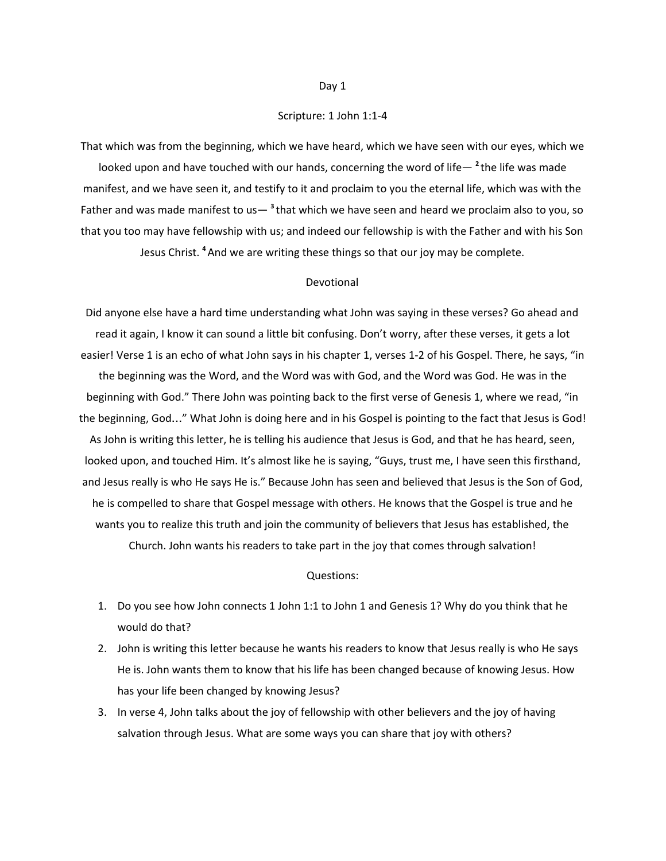#### Scripture: 1 John 1:1-4

That which was from the beginning, which we have heard, which we have seen with our eyes, which we looked upon and have touched with our hands, concerning the word of life— **<sup>2</sup>** the life was made manifest, and we have seen it, and testify to it and proclaim to you the eternal life, which was with the Father and was made manifest to us—<sup>3</sup>that which we have seen and heard we proclaim also to you, so that you too may have fellowship with us; and indeed our fellowship is with the Father and with his Son Jesus Christ. **<sup>4</sup>**And we are writing these things so that our joy may be complete.

#### Devotional

Did anyone else have a hard time understanding what John was saying in these verses? Go ahead and read it again, I know it can sound a little bit confusing. Don't worry, after these verses, it gets a lot easier! Verse 1 is an echo of what John says in his chapter 1, verses 1-2 of his Gospel. There, he says, "in the beginning was the Word, and the Word was with God, and the Word was God. He was in the beginning with God." There John was pointing back to the first verse of Genesis 1, where we read, "in the beginning, God…" What John is doing here and in his Gospel is pointing to the fact that Jesus is God! As John is writing this letter, he is telling his audience that Jesus is God, and that he has heard, seen, looked upon, and touched Him. It's almost like he is saying, "Guys, trust me, I have seen this firsthand, and Jesus really is who He says He is." Because John has seen and believed that Jesus is the Son of God, he is compelled to share that Gospel message with others. He knows that the Gospel is true and he wants you to realize this truth and join the community of believers that Jesus has established, the Church. John wants his readers to take part in the joy that comes through salvation!

#### Questions:

- 1. Do you see how John connects 1 John 1:1 to John 1 and Genesis 1? Why do you think that he would do that?
- 2. John is writing this letter because he wants his readers to know that Jesus really is who He says He is. John wants them to know that his life has been changed because of knowing Jesus. How has your life been changed by knowing Jesus?
- 3. In verse 4, John talks about the joy of fellowship with other believers and the joy of having salvation through Jesus. What are some ways you can share that joy with others?

#### Day 1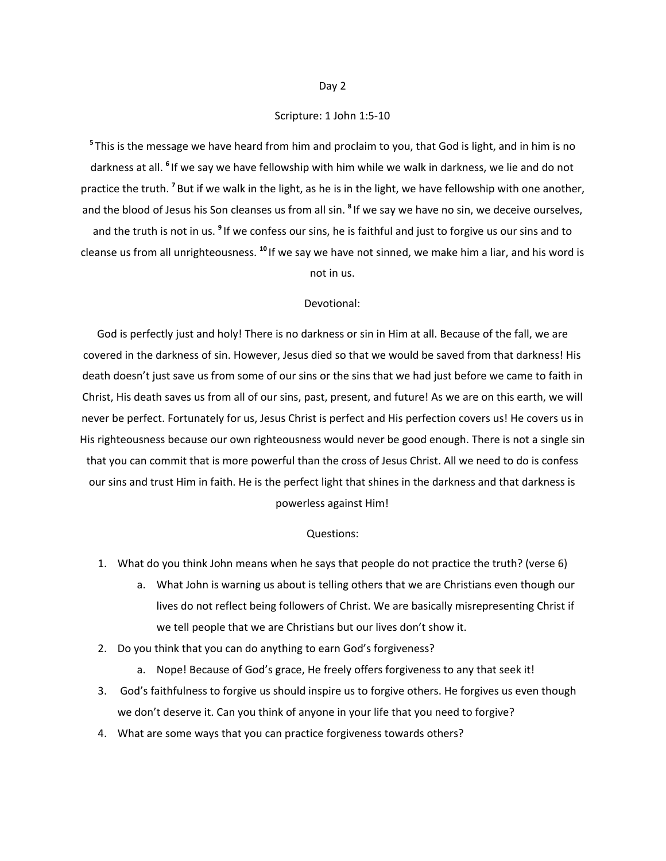## Scripture: 1 John 1:5-10

**<sup>5</sup>** This is the message we have heard from him and proclaim to you, that God is light, and in him is no darkness at all. <sup>6</sup> If we say we have fellowship with him while we walk in darkness, we lie and do not practice the truth. <sup>7</sup> But if we walk in the light, as he is in the light, we have fellowship with one another, and the blood of Jesus his Son cleanses us from all sin. **8** If we say we have no sin, we deceive ourselves, and the truth is not in us. <sup>9</sup> If we confess our sins, he is faithful and just to forgive us our sins and to cleanse us from all unrighteousness. <sup>10</sup> If we say we have not sinned, we make him a liar, and his word is not in us.

#### Devotional:

God is perfectly just and holy! There is no darkness or sin in Him at all. Because of the fall, we are covered in the darkness of sin. However, Jesus died so that we would be saved from that darkness! His death doesn't just save us from some of our sins or the sins that we had just before we came to faith in Christ, His death saves us from all of our sins, past, present, and future! As we are on this earth, we will never be perfect. Fortunately for us, Jesus Christ is perfect and His perfection covers us! He covers us in His righteousness because our own righteousness would never be good enough. There is not a single sin that you can commit that is more powerful than the cross of Jesus Christ. All we need to do is confess our sins and trust Him in faith. He is the perfect light that shines in the darkness and that darkness is powerless against Him!

- 1. What do you think John means when he says that people do not practice the truth? (verse 6)
	- a. What John is warning us about is telling others that we are Christians even though our lives do not reflect being followers of Christ. We are basically misrepresenting Christ if we tell people that we are Christians but our lives don't show it.
- 2. Do you think that you can do anything to earn God's forgiveness?
	- a. Nope! Because of God's grace, He freely offers forgiveness to any that seek it!
- 3. God's faithfulness to forgive us should inspire us to forgive others. He forgives us even though we don't deserve it. Can you think of anyone in your life that you need to forgive?
- 4. What are some ways that you can practice forgiveness towards others?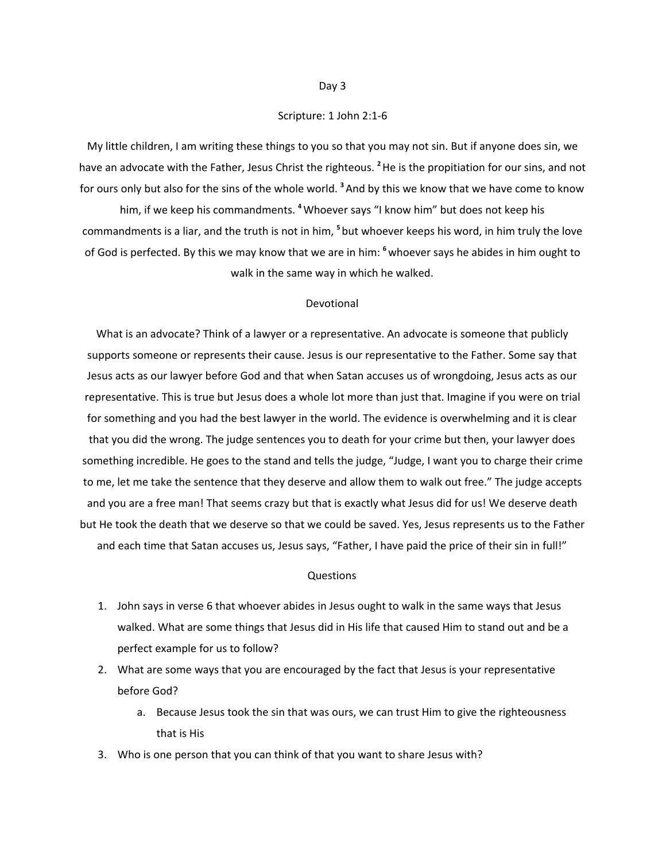## Scripture: 1 John 2:1-6

My little children, I am writing these things to you so that you may not sin. But if anyone does sin, we have an advocate with the Father, Jesus Christ the righteous. **<sup>2</sup>**He is the propitiation for our sins, and not for ours only but also for the sins of the whole world. **<sup>3</sup>**And by this we know that we have come to know

him, if we keep his commandments. **<sup>4</sup>**Whoever says "I know him" but does not keep his commandments is a liar, and the truth is not in him, **<sup>5</sup>** but whoever keeps his word, in him truly the love of God is perfected. By this we may know that we are in him: **<sup>6</sup>**whoever says he abides in him ought to walk in the same way in which he walked.

#### Devotional

What is an advocate? Think of a lawyer or a representative. An advocate is someone that publicly supports someone or represents their cause. Jesus is our representative to the Father. Some say that Jesus acts as our lawyer before God and that when Satan accuses us of wrongdoing, Jesus acts as our representative. This is true but Jesus does a whole lot more than just that. Imagine if you were on trial for something and you had the best lawyer in the world. The evidence is overwhelming and it is clear that you did the wrong. The judge sentences you to death for your crime but then, your lawyer does something incredible. He goes to the stand and tells the judge, "Judge, I want you to charge their crime to me, let me take the sentence that they deserve and allow them to walk out free." The judge accepts and you are a free man! That seems crazy but that is exactly what Jesus did for us! We deserve death but He took the death that we deserve so that we could be saved. Yes, Jesus represents us to the Father and each time that Satan accuses us, Jesus says, "Father, I have paid the price of their sin in full!"

- 1. John says in verse 6 that whoever abides in Jesus ought to walk in the same ways that Jesus walked. What are some things that Jesus did in His life that caused Him to stand out and be a perfect example for us to follow?
- 2. What are some ways that you are encouraged by the fact that Jesus is your representative before God?
	- a. Because Jesus took the sin that was ours, we can trust Him to give the righteousness that is His
- 3. Who is one person that you can think of that you want to share Jesus with?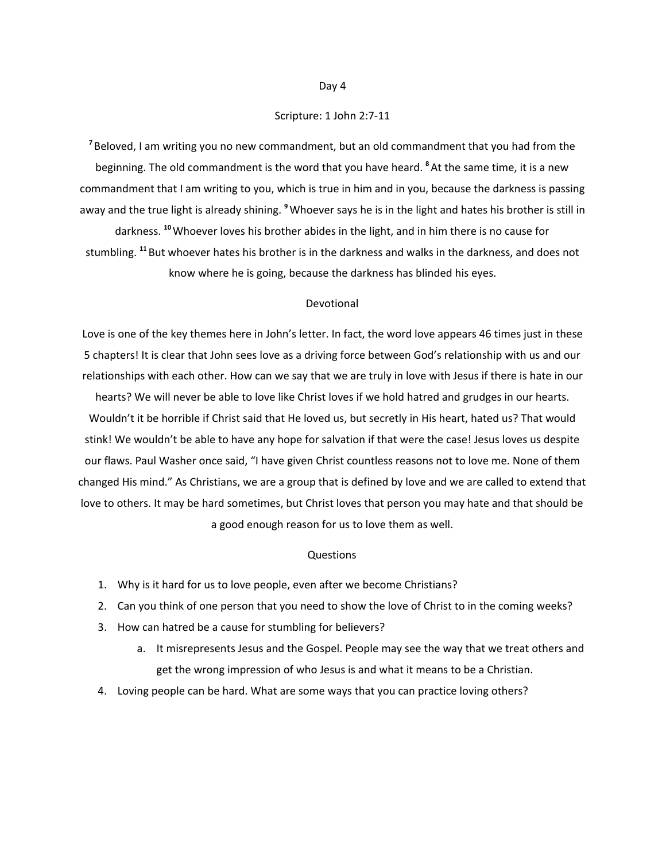## Scripture: 1 John 2:7-11

**<sup>7</sup>** Beloved, I am writing you no new commandment, but an old commandment that you had from the beginning. The old commandment is the word that you have heard. **<sup>8</sup>**At the same time, it is a new commandment that I am writing to you, which is true in him and in you, because the darkness is passing away and the true light is already shining. **<sup>9</sup>**Whoever says he is in the light and hates his brother is still in

darkness. **<sup>10</sup>**Whoever loves his brother abides in the light, and in him there is no cause for stumbling. **<sup>11</sup>** But whoever hates his brother is in the darkness and walks in the darkness, and does not know where he is going, because the darkness has blinded his eyes.

#### Devotional

Love is one of the key themes here in John's letter. In fact, the word love appears 46 times just in these 5 chapters! It is clear that John sees love as a driving force between God's relationship with us and our relationships with each other. How can we say that we are truly in love with Jesus if there is hate in our hearts? We will never be able to love like Christ loves if we hold hatred and grudges in our hearts. Wouldn't it be horrible if Christ said that He loved us, but secretly in His heart, hated us? That would stink! We wouldn't be able to have any hope for salvation if that were the case! Jesus loves us despite our flaws. Paul Washer once said, "I have given Christ countless reasons not to love me. None of them changed His mind." As Christians, we are a group that is defined by love and we are called to extend that love to others. It may be hard sometimes, but Christ loves that person you may hate and that should be a good enough reason for us to love them as well.

- 1. Why is it hard for us to love people, even after we become Christians?
- 2. Can you think of one person that you need to show the love of Christ to in the coming weeks?
- 3. How can hatred be a cause for stumbling for believers?
	- a. It misrepresents Jesus and the Gospel. People may see the way that we treat others and get the wrong impression of who Jesus is and what it means to be a Christian.
- 4. Loving people can be hard. What are some ways that you can practice loving others?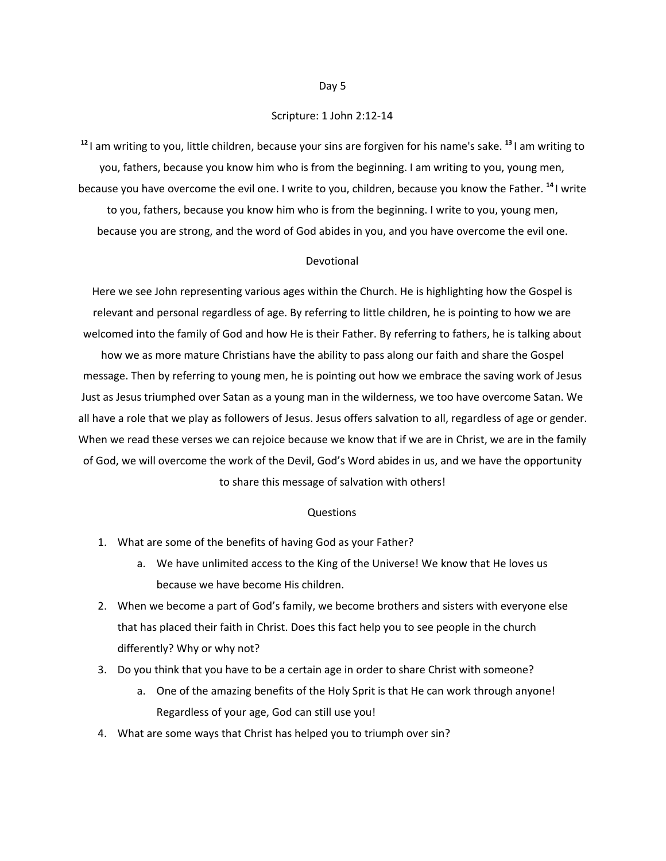## Scripture: 1 John 2:12-14

**12** I am writing to you, little children, because your sins are forgiven for his name's sake. **13** I am writing to you, fathers, because you know him who is from the beginning. I am writing to you, young men, because you have overcome the evil one. I write to you, children, because you know the Father. **14** I write to you, fathers, because you know him who is from the beginning. I write to you, young men,

because you are strong, and the word of God abides in you, and you have overcome the evil one.

#### Devotional

Here we see John representing various ages within the Church. He is highlighting how the Gospel is relevant and personal regardless of age. By referring to little children, he is pointing to how we are welcomed into the family of God and how He is their Father. By referring to fathers, he is talking about

how we as more mature Christians have the ability to pass along our faith and share the Gospel message. Then by referring to young men, he is pointing out how we embrace the saving work of Jesus Just as Jesus triumphed over Satan as a young man in the wilderness, we too have overcome Satan. We all have a role that we play as followers of Jesus. Jesus offers salvation to all, regardless of age or gender. When we read these verses we can rejoice because we know that if we are in Christ, we are in the family of God, we will overcome the work of the Devil, God's Word abides in us, and we have the opportunity to share this message of salvation with others!

#### Questions

- 1. What are some of the benefits of having God as your Father?
	- a. We have unlimited access to the King of the Universe! We know that He loves us because we have become His children.
- 2. When we become a part of God's family, we become brothers and sisters with everyone else that has placed their faith in Christ. Does this fact help you to see people in the church differently? Why or why not?
- 3. Do you think that you have to be a certain age in order to share Christ with someone?
	- a. One of the amazing benefits of the Holy Sprit is that He can work through anyone! Regardless of your age, God can still use you!
- 4. What are some ways that Christ has helped you to triumph over sin?

#### Day 5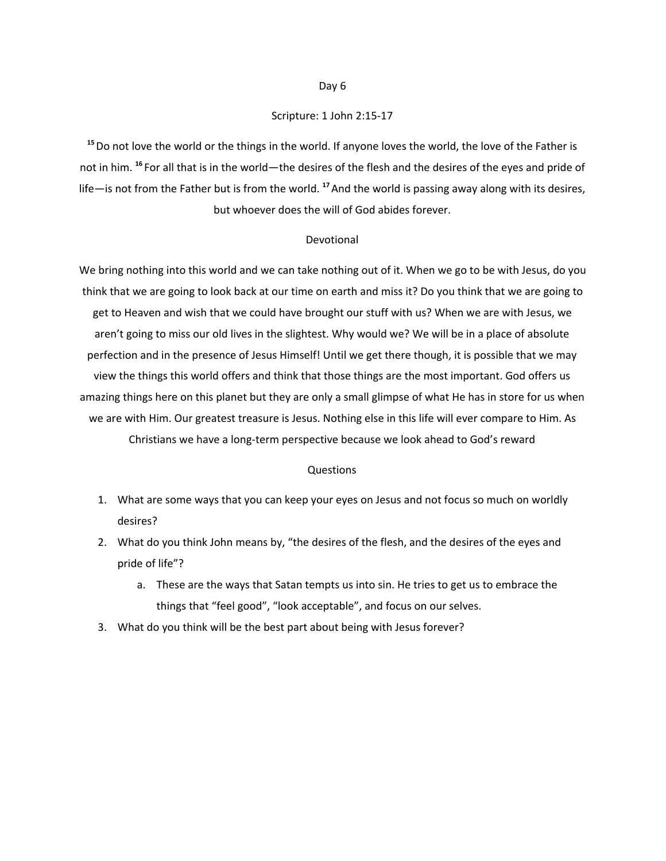## Scripture: 1 John 2:15-17

**<sup>15</sup>**Do not love the world or the things in the world. If anyone loves the world, the love of the Father is not in him. **<sup>16</sup>** For all that is in the world—the desires of the flesh and the desires of the eyes and pride of life—is not from the Father but is from the world. **<sup>17</sup>**And the world is passing away along with its desires, but whoever does the will of God abides forever.

## Devotional

We bring nothing into this world and we can take nothing out of it. When we go to be with Jesus, do you think that we are going to look back at our time on earth and miss it? Do you think that we are going to get to Heaven and wish that we could have brought our stuff with us? When we are with Jesus, we aren't going to miss our old lives in the slightest. Why would we? We will be in a place of absolute perfection and in the presence of Jesus Himself! Until we get there though, it is possible that we may view the things this world offers and think that those things are the most important. God offers us amazing things here on this planet but they are only a small glimpse of what He has in store for us when we are with Him. Our greatest treasure is Jesus. Nothing else in this life will ever compare to Him. As Christians we have a long-term perspective because we look ahead to God's reward

- 1. What are some ways that you can keep your eyes on Jesus and not focus so much on worldly desires?
- 2. What do you think John means by, "the desires of the flesh, and the desires of the eyes and pride of life"?
	- a. These are the ways that Satan tempts us into sin. He tries to get us to embrace the things that "feel good", "look acceptable", and focus on our selves.
- 3. What do you think will be the best part about being with Jesus forever?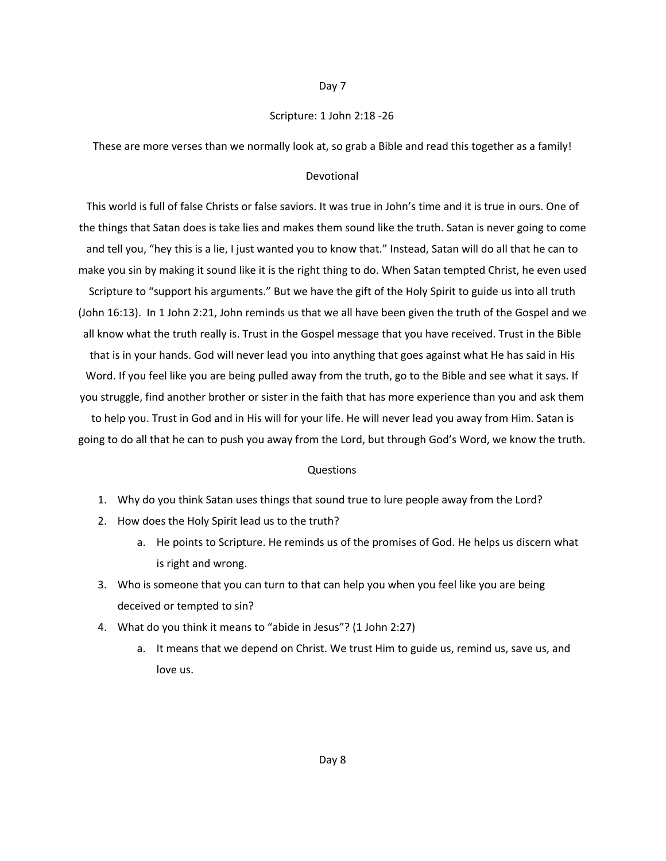## Scripture: 1 John 2:18 -26

These are more verses than we normally look at, so grab a Bible and read this together as a family!

#### Devotional

This world is full of false Christs or false saviors. It was true in John's time and it is true in ours. One of the things that Satan does is take lies and makes them sound like the truth. Satan is never going to come and tell you, "hey this is a lie, I just wanted you to know that." Instead, Satan will do all that he can to make you sin by making it sound like it is the right thing to do. When Satan tempted Christ, he even used Scripture to "support his arguments." But we have the gift of the Holy Spirit to guide us into all truth (John 16:13). In 1 John 2:21, John reminds us that we all have been given the truth of the Gospel and we all know what the truth really is. Trust in the Gospel message that you have received. Trust in the Bible that is in your hands. God will never lead you into anything that goes against what He has said in His Word. If you feel like you are being pulled away from the truth, go to the Bible and see what it says. If you struggle, find another brother or sister in the faith that has more experience than you and ask them to help you. Trust in God and in His will for your life. He will never lead you away from Him. Satan is going to do all that he can to push you away from the Lord, but through God's Word, we know the truth.

- 1. Why do you think Satan uses things that sound true to lure people away from the Lord?
- 2. How does the Holy Spirit lead us to the truth?
	- a. He points to Scripture. He reminds us of the promises of God. He helps us discern what is right and wrong.
- 3. Who is someone that you can turn to that can help you when you feel like you are being deceived or tempted to sin?
- 4. What do you think it means to "abide in Jesus"? (1 John 2:27)
	- a. It means that we depend on Christ. We trust Him to guide us, remind us, save us, and love us.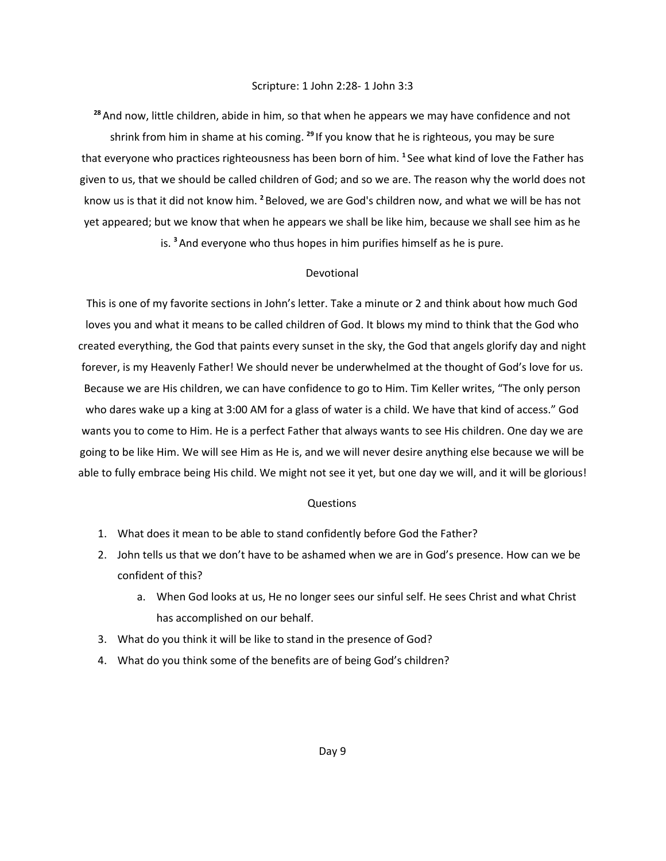#### Scripture: 1 John 2:28- 1 John 3:3

**<sup>28</sup>**And now, little children, abide in him, so that when he appears we may have confidence and not shrink from him in shame at his coming. <sup>29</sup> If you know that he is righteous, you may be sure that everyone who practices righteousness has been born of him. **<sup>1</sup>** See what kind of love the Father has given to us, that we should be called children of God; and so we are. The reason why the world does not know us is that it did not know him. **<sup>2</sup>** Beloved, we are God's children now, and what we will be has not yet appeared; but we know that when he appears we shall be like him, because we shall see him as he is. **<sup>3</sup>**And everyone who thus hopes in him purifies himself as he is pure.

#### Devotional

This is one of my favorite sections in John's letter. Take a minute or 2 and think about how much God loves you and what it means to be called children of God. It blows my mind to think that the God who created everything, the God that paints every sunset in the sky, the God that angels glorify day and night forever, is my Heavenly Father! We should never be underwhelmed at the thought of God's love for us. Because we are His children, we can have confidence to go to Him. Tim Keller writes, "The only person who dares wake up a king at 3:00 AM for a glass of water is a child. We have that kind of access." God wants you to come to Him. He is a perfect Father that always wants to see His children. One day we are going to be like Him. We will see Him as He is, and we will never desire anything else because we will be able to fully embrace being His child. We might not see it yet, but one day we will, and it will be glorious!

- 1. What does it mean to be able to stand confidently before God the Father?
- 2. John tells us that we don't have to be ashamed when we are in God's presence. How can we be confident of this?
	- a. When God looks at us, He no longer sees our sinful self. He sees Christ and what Christ has accomplished on our behalf.
- 3. What do you think it will be like to stand in the presence of God?
- 4. What do you think some of the benefits are of being God's children?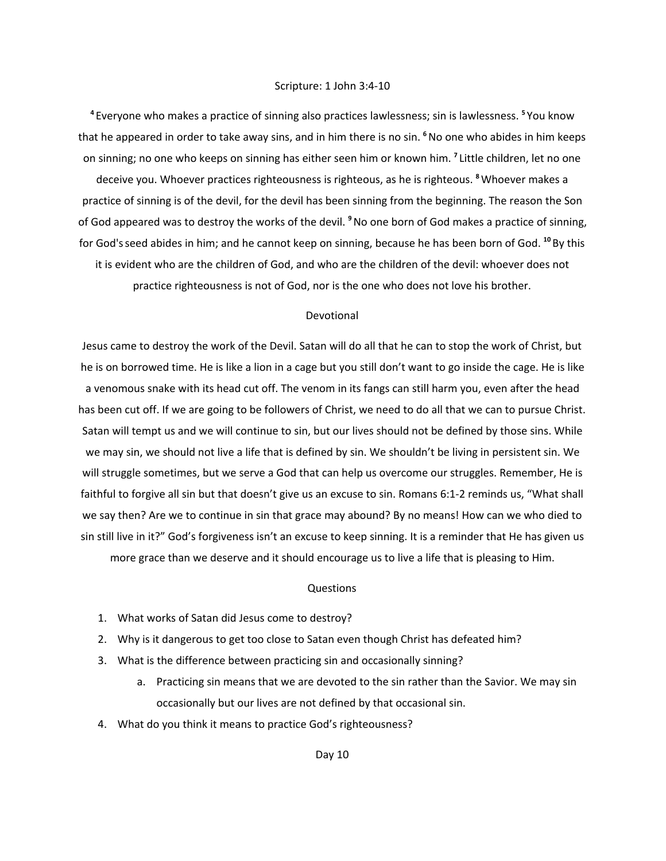**<sup>4</sup>** Everyone who makes a practice of sinning also practices lawlessness; sin is lawlessness. **<sup>5</sup>** You know that he appeared in order to take away sins, and in him there is no sin. **<sup>6</sup>**No one who abides in him keeps on sinning; no one who keeps on sinning has either seen him or known him. **<sup>7</sup>** Little children, let no one deceive you. Whoever practices righteousness is righteous, as he is righteous. **<sup>8</sup>**Whoever makes a practice of sinning is of the devil, for the devil has been sinning from the beginning. The reason the Son of God appeared was to destroy the works of the devil. **<sup>9</sup>**No one born of God makes a practice of sinning, for God'sseed abides in him; and he cannot keep on sinning, because he has been born of God. **<sup>10</sup>** By this it is evident who are the children of God, and who are the children of the devil: whoever does not practice righteousness is not of God, nor is the one who does not love his brother.

## Devotional

Jesus came to destroy the work of the Devil. Satan will do all that he can to stop the work of Christ, but he is on borrowed time. He is like a lion in a cage but you still don't want to go inside the cage. He is like a venomous snake with its head cut off. The venom in its fangs can still harm you, even after the head has been cut off. If we are going to be followers of Christ, we need to do all that we can to pursue Christ. Satan will tempt us and we will continue to sin, but our lives should not be defined by those sins. While we may sin, we should not live a life that is defined by sin. We shouldn't be living in persistent sin. We will struggle sometimes, but we serve a God that can help us overcome our struggles. Remember, He is faithful to forgive all sin but that doesn't give us an excuse to sin. Romans 6:1-2 reminds us, "What shall we say then? Are we to continue in sin that grace may abound? By no means! How can we who died to sin still live in it?" God's forgiveness isn't an excuse to keep sinning. It is a reminder that He has given us more grace than we deserve and it should encourage us to live a life that is pleasing to Him.

#### Questions

- 1. What works of Satan did Jesus come to destroy?
- 2. Why is it dangerous to get too close to Satan even though Christ has defeated him?
- 3. What is the difference between practicing sin and occasionally sinning?
	- a. Practicing sin means that we are devoted to the sin rather than the Savior. We may sin occasionally but our lives are not defined by that occasional sin.
- 4. What do you think it means to practice God's righteousness?

Day 10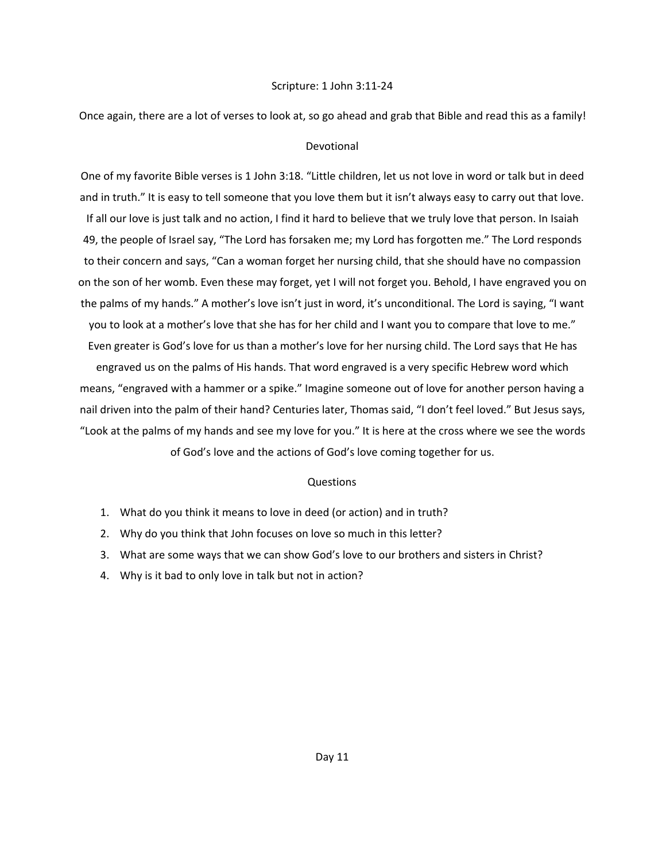#### Scripture: 1 John 3:11-24

Once again, there are a lot of verses to look at, so go ahead and grab that Bible and read this as a family!

#### Devotional

One of my favorite Bible verses is 1 John 3:18. "Little children, let us not love in word or talk but in deed and in truth." It is easy to tell someone that you love them but it isn't always easy to carry out that love. If all our love is just talk and no action, I find it hard to believe that we truly love that person. In Isaiah 49, the people of Israel say, "The Lord has forsaken me; my Lord has forgotten me." The Lord responds to their concern and says, "Can a woman forget her nursing child, that she should have no compassion on the son of her womb. Even these may forget, yet I will not forget you. Behold, I have engraved you on the palms of my hands." A mother's love isn't just in word, it's unconditional. The Lord is saying, "I want you to look at a mother's love that she has for her child and I want you to compare that love to me." Even greater is God's love for us than a mother's love for her nursing child. The Lord says that He has

engraved us on the palms of His hands. That word engraved is a very specific Hebrew word which means, "engraved with a hammer or a spike." Imagine someone out of love for another person having a nail driven into the palm of their hand? Centuries later, Thomas said, "I don't feel loved." But Jesus says, "Look at the palms of my hands and see my love for you." It is here at the cross where we see the words of God's love and the actions of God's love coming together for us.

- 1. What do you think it means to love in deed (or action) and in truth?
- 2. Why do you think that John focuses on love so much in this letter?
- 3. What are some ways that we can show God's love to our brothers and sisters in Christ?
- 4. Why is it bad to only love in talk but not in action?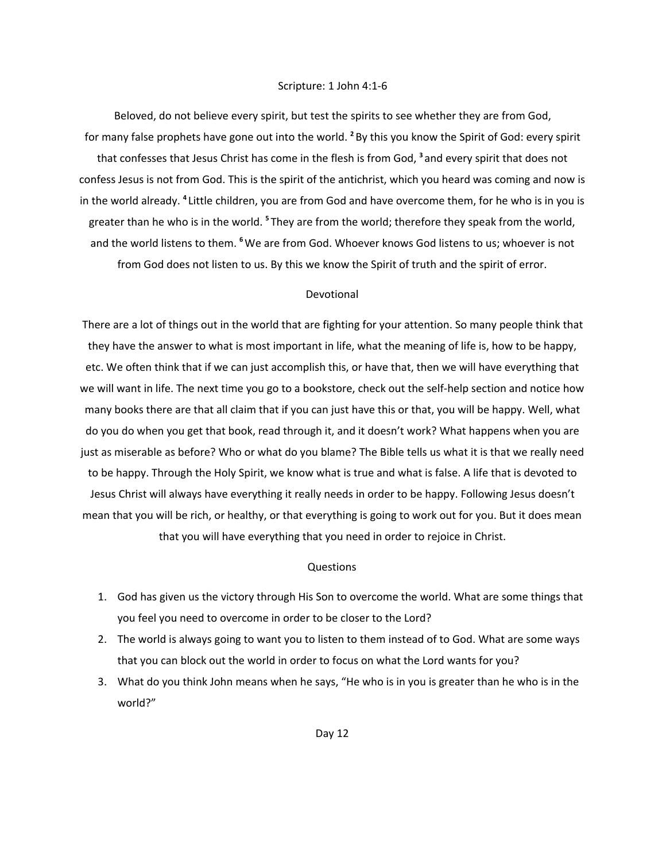#### Scripture: 1 John 4:1-6

Beloved, do not believe every spirit, but test the spirits to see whether they are from God, for many false prophets have gone out into the world. <sup>2</sup> By this you know the Spirit of God: every spirit that confesses that Jesus Christ has come in the flesh is from God, **<sup>3</sup>** and every spirit that does not confess Jesus is not from God. This is the spirit of the antichrist, which you heard was coming and now is in the world already. **<sup>4</sup>** Little children, you are from God and have overcome them, for he who is in you is greater than he who is in the world. <sup>5</sup> They are from the world; therefore they speak from the world, and the world listens to them. **<sup>6</sup>**We are from God. Whoever knows God listens to us; whoever is not from God does not listen to us. By this we know the Spirit of truth and the spirit of error.

## Devotional

There are a lot of things out in the world that are fighting for your attention. So many people think that they have the answer to what is most important in life, what the meaning of life is, how to be happy, etc. We often think that if we can just accomplish this, or have that, then we will have everything that we will want in life. The next time you go to a bookstore, check out the self-help section and notice how many books there are that all claim that if you can just have this or that, you will be happy. Well, what do you do when you get that book, read through it, and it doesn't work? What happens when you are just as miserable as before? Who or what do you blame? The Bible tells us what it is that we really need to be happy. Through the Holy Spirit, we know what is true and what is false. A life that is devoted to Jesus Christ will always have everything it really needs in order to be happy. Following Jesus doesn't mean that you will be rich, or healthy, or that everything is going to work out for you. But it does mean that you will have everything that you need in order to rejoice in Christ.

- 1. God has given us the victory through His Son to overcome the world. What are some things that you feel you need to overcome in order to be closer to the Lord?
- 2. The world is always going to want you to listen to them instead of to God. What are some ways that you can block out the world in order to focus on what the Lord wants for you?
- 3. What do you think John means when he says, "He who is in you is greater than he who is in the world?"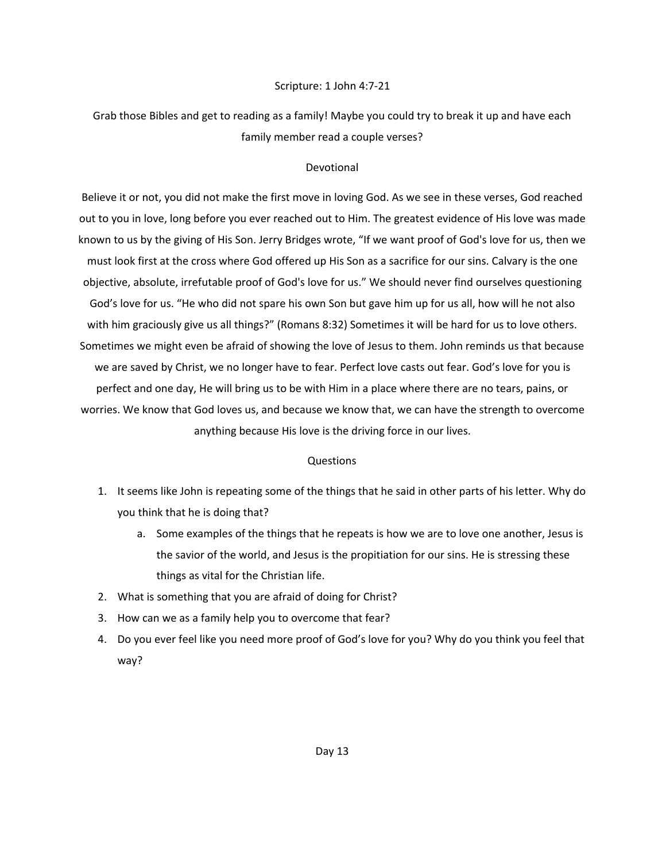## Scripture: 1 John 4:7-21

Grab those Bibles and get to reading as a family! Maybe you could try to break it up and have each family member read a couple verses?

## Devotional

Believe it or not, you did not make the first move in loving God. As we see in these verses, God reached out to you in love, long before you ever reached out to Him. The greatest evidence of His love was made known to us by the giving of His Son. Jerry Bridges wrote, "If we want proof of God's love for us, then we must look first at the cross where God offered up His Son as a sacrifice for our sins. Calvary is the one objective, absolute, irrefutable proof of God's love for us." We should never find ourselves questioning God's love for us. "He who did not spare his own Son but gave him up for us all, how will he not also with him graciously give us all things?" (Romans 8:32) Sometimes it will be hard for us to love others. Sometimes we might even be afraid of showing the love of Jesus to them. John reminds us that because we are saved by Christ, we no longer have to fear. Perfect love casts out fear. God's love for you is perfect and one day, He will bring us to be with Him in a place where there are no tears, pains, or worries. We know that God loves us, and because we know that, we can have the strength to overcome anything because His love is the driving force in our lives.

- 1. It seems like John is repeating some of the things that he said in other parts of his letter. Why do you think that he is doing that?
	- a. Some examples of the things that he repeats is how we are to love one another, Jesus is the savior of the world, and Jesus is the propitiation for our sins. He is stressing these things as vital for the Christian life.
- 2. What is something that you are afraid of doing for Christ?
- 3. How can we as a family help you to overcome that fear?
- 4. Do you ever feel like you need more proof of God's love for you? Why do you think you feel that way?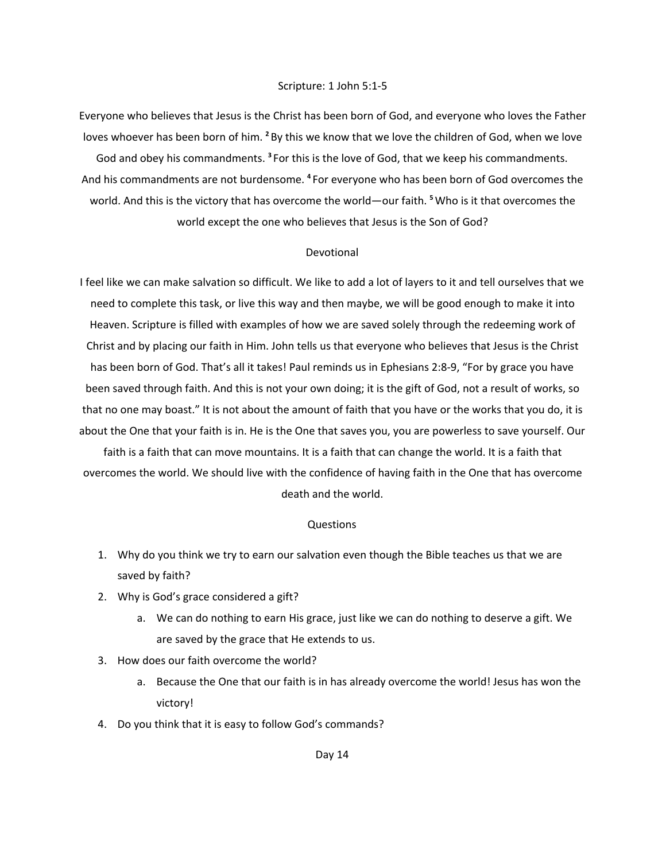#### Scripture: 1 John 5:1-5

Everyone who believes that Jesus is the Christ has been born of God, and everyone who loves the Father loves whoever has been born of him. <sup>2</sup> By this we know that we love the children of God, when we love God and obey his commandments. <sup>3</sup> For this is the love of God, that we keep his commandments. And his commandments are not burdensome. **<sup>4</sup>** For everyone who has been born of God overcomes the world. And this is the victory that has overcome the world—our faith. **<sup>5</sup>**Who is it that overcomes the world except the one who believes that Jesus is the Son of God?

## Devotional

I feel like we can make salvation so difficult. We like to add a lot of layers to it and tell ourselves that we need to complete this task, or live this way and then maybe, we will be good enough to make it into Heaven. Scripture is filled with examples of how we are saved solely through the redeeming work of Christ and by placing our faith in Him. John tells us that everyone who believes that Jesus is the Christ has been born of God. That's all it takes! Paul reminds us in Ephesians 2:8-9, "For by grace you have been saved through faith. And this is not your own doing; it is the gift of God, not a result of works, so that no one may boast." It is not about the amount of faith that you have or the works that you do, it is about the One that your faith is in. He is the One that saves you, you are powerless to save yourself. Our

faith is a faith that can move mountains. It is a faith that can change the world. It is a faith that overcomes the world. We should live with the confidence of having faith in the One that has overcome death and the world.

- 1. Why do you think we try to earn our salvation even though the Bible teaches us that we are saved by faith?
- 2. Why is God's grace considered a gift?
	- a. We can do nothing to earn His grace, just like we can do nothing to deserve a gift. We are saved by the grace that He extends to us.
- 3. How does our faith overcome the world?
	- a. Because the One that our faith is in has already overcome the world! Jesus has won the victory!
- 4. Do you think that it is easy to follow God's commands?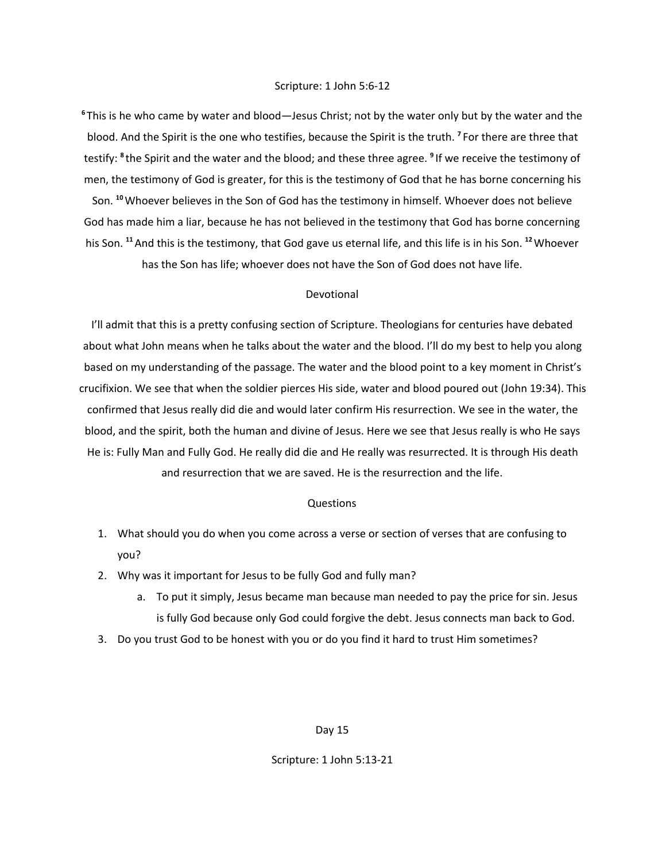**<sup>6</sup>** This is he who came by water and blood—Jesus Christ; not by the water only but by the water and the blood. And the Spirit is the one who testifies, because the Spirit is the truth. **<sup>7</sup>** For there are three that testify: <sup>8</sup> the Spirit and the water and the blood; and these three agree. <sup>9</sup> If we receive the testimony of men, the testimony of God is greater, for this is the testimony of God that he has borne concerning his Son. **<sup>10</sup>**Whoever believes in the Son of God has the testimony in himself. Whoever does not believe God has made him a liar, because he has not believed in the testimony that God has borne concerning his Son. **<sup>11</sup>**And this is the testimony, that God gave us eternal life, and this life is in his Son. **<sup>12</sup>**Whoever has the Son has life; whoever does not have the Son of God does not have life.

## Devotional

I'll admit that this is a pretty confusing section of Scripture. Theologians for centuries have debated about what John means when he talks about the water and the blood. I'll do my best to help you along based on my understanding of the passage. The water and the blood point to a key moment in Christ's crucifixion. We see that when the soldier pierces His side, water and blood poured out (John 19:34). This confirmed that Jesus really did die and would later confirm His resurrection. We see in the water, the blood, and the spirit, both the human and divine of Jesus. Here we see that Jesus really is who He says He is: Fully Man and Fully God. He really did die and He really was resurrected. It is through His death and resurrection that we are saved. He is the resurrection and the life.

## Questions

- 1. What should you do when you come across a verse or section of verses that are confusing to you?
- 2. Why was it important for Jesus to be fully God and fully man?
	- a. To put it simply, Jesus became man because man needed to pay the price for sin. Jesus is fully God because only God could forgive the debt. Jesus connects man back to God.
- 3. Do you trust God to be honest with you or do you find it hard to trust Him sometimes?

#### Day 15

## Scripture: 1 John 5:13-21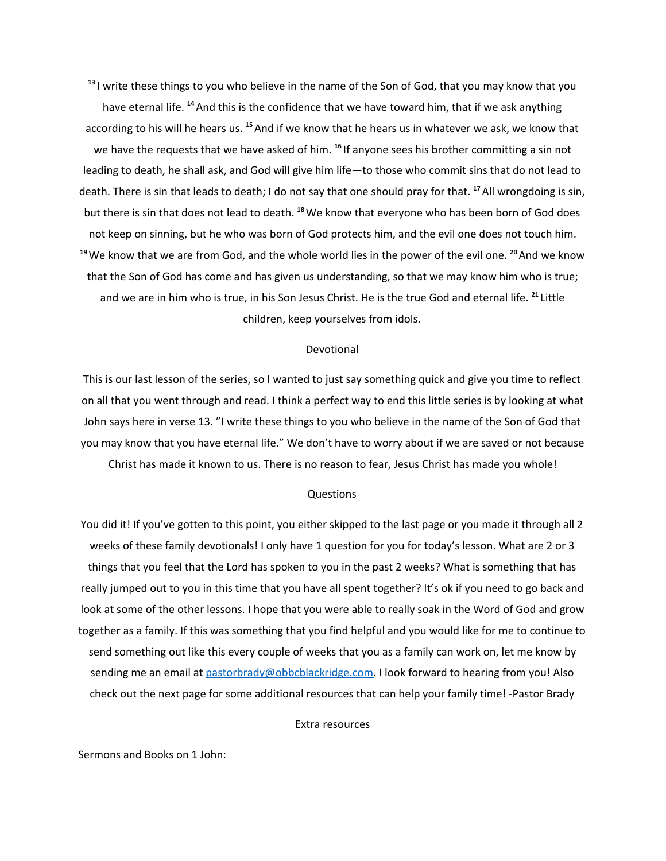**13** I write these things to you who believe in the name of the Son of God, that you may know that you have eternal life. <sup>14</sup> And this is the confidence that we have toward him, that if we ask anything according to his will he hears us. <sup>15</sup> And if we know that he hears us in whatever we ask, we know that we have the requests that we have asked of him. <sup>16</sup> If anyone sees his brother committing a sin not leading to death, he shall ask, and God will give him life—to those who commit sins that do not lead to death. There is sin that leads to death; I do not say that one should pray for that. **<sup>17</sup>**All wrongdoing is sin, but there is sin that does not lead to death. **<sup>18</sup>**We know that everyone who has been born of God does not keep on sinning, but he who was born of God protects him, and the evil one does not touch him. **<sup>19</sup>**We know that we are from God, and the whole world lies in the power of the evil one. **<sup>20</sup>**And we know that the Son of God has come and has given us understanding, so that we may know him who is true; and we are in him who is true, in his Son Jesus Christ. He is the true God and eternal life. **<sup>21</sup>** Little children, keep yourselves from idols.

## Devotional

This is our last lesson of the series, so I wanted to just say something quick and give you time to reflect on all that you went through and read. I think a perfect way to end this little series is by looking at what John says here in verse 13. "I write these things to you who believe in the name of the Son of God that you may know that you have eternal life." We don't have to worry about if we are saved or not because Christ has made it known to us. There is no reason to fear, Jesus Christ has made you whole!

#### Questions

You did it! If you've gotten to this point, you either skipped to the last page or you made it through all 2 weeks of these family devotionals! I only have 1 question for you for today's lesson. What are 2 or 3 things that you feel that the Lord has spoken to you in the past 2 weeks? What is something that has really jumped out to you in this time that you have all spent together? It's ok if you need to go back and look at some of the other lessons. I hope that you were able to really soak in the Word of God and grow together as a family. If this was something that you find helpful and you would like for me to continue to send something out like this every couple of weeks that you as a family can work on, let me know by sending me an email at [pastorbrady@obbcblackridge.com.](mailto:pastorbrady@obbcblackridge.com) I look forward to hearing from you! Also check out the next page for some additional resources that can help your family time! -Pastor Brady

## Extra resources

Sermons and Books on 1 John: